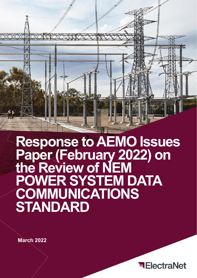

**Response to AEMO Issues Paper (February 2022) on the Review of NEM POWER SYSTEM DATA COMMUNICATIONS STANDARD**

**March 2022**

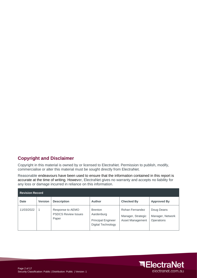# **Copyright and Disclaimer**

Copyright in this material is owned by or licensed to ElectraNet. Permission to publish, modify, commercialise or alter this material must be sought directly from ElectraNet.

Reasonable endeavours have been used to ensure that the information contained in this report is accurate at the time of writing. However, ElectraNet gives no warranty and accepts no liability for any loss or damage incurred in reliance on this information.

| <b>Revision Record</b> |                |                                                         |                                                                                        |                                                           |                                              |
|------------------------|----------------|---------------------------------------------------------|----------------------------------------------------------------------------------------|-----------------------------------------------------------|----------------------------------------------|
| <b>Date</b>            | <b>Version</b> | <b>Description</b>                                      | <b>Author</b>                                                                          | <b>Checked By</b>                                         | <b>Approved By</b>                           |
| 11/03/2022             |                | Response to AEMO<br><b>PSDCS Review Issues</b><br>Paper | <b>Brenton</b><br>Aardenburg<br><b>Principal Engineer</b><br><b>Digital Technology</b> | Rohan Fernandez<br>Manager, Strategic<br>Asset Management | Doug Deans<br>Manager, Network<br>Operations |

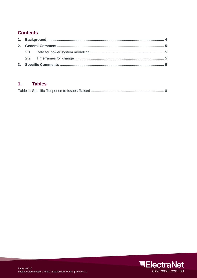# **Contents**

#### $1.$ **Tables**

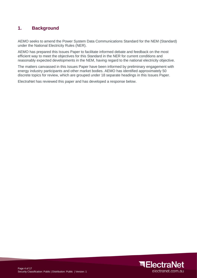## <span id="page-3-0"></span>**1. Background**

AEMO seeks to amend the Power System Data Communications Standard for the NEM (Standard) under the National Electricity Rules (NER).

AEMO has prepared this Issues Paper to facilitate informed debate and feedback on the most efficient way to meet the objectives for this Standard in the NER for current conditions and reasonably expected developments in the NEM, having regard to the national electricity objective.

The matters canvassed in this Issues Paper have been informed by preliminary engagement with energy industry participants and other market bodies. AEMO has identified approximately 50 discrete topics for review, which are grouped under 18 separate headings in this Issues Paper.

ElectraNet has reviewed this paper and has developed a response below.

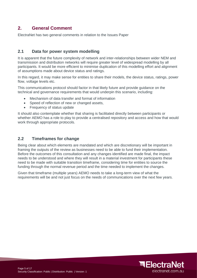## <span id="page-4-0"></span>**2. General Comment**

ElectraNet has two general comments in relation to the Issues Paper

### <span id="page-4-1"></span>**2.1 Data for power system modelling**

It is apparent that the future complexity of network and inter-relationships between wider NEM and transmission and distribution networks will require greater level of widespread modelling by all participants. It would be more efficient to minimise duplication of this modelling effort and alignment of assumptions made about device status and ratings.

In this regard, it may make sense for entities to share their models, the device status, ratings, power flow, voltage levels etc.

This communications protocol should factor in that likely future and provide guidance on the technical and governance requirements that would underpin this scenario, including:

- Mechanism of data transfer and format of information
- Speed of reflection of new or changed assets,
- Frequency of status update

It should also contemplate whether that sharing is facilitated directly between participants or whether AEMO has a role to play to provide a centralised repository and access and how that would work through appropriate protocols.

#### <span id="page-4-2"></span>**2.2 Timeframes for change**

Being clear about which elements are mandated and which are discretionary will be important in framing the outputs of the review as businesses need to be able to fund their implementation. Before the outcomes of this consultation and any changes identified are made final, the impact needs to be understood and where they will result in a material investment for participants these need to be made with suitable transition timeframe, considering time for entities to source the funding through the normal revenue period and the time needed to implement the changes.

Given that timeframe (multiple years) AEMO needs to take a long-term view of what the requirements will be and not just focus on the needs of communications over the next few years.

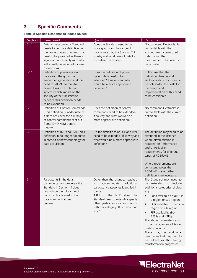# <span id="page-5-0"></span>**3. Specific Comments**

**Table 1: Specific Response to Issues Raised**

| Section | Issue raised                                                                                                                                                                                                                                                          | Questions                                                                                                                                                                                                                                                                  | Responses                                                                                                                                                                                                                                                                                                                                                                                                                                                                                                |
|---------|-----------------------------------------------------------------------------------------------------------------------------------------------------------------------------------------------------------------------------------------------------------------------|----------------------------------------------------------------------------------------------------------------------------------------------------------------------------------------------------------------------------------------------------------------------------|----------------------------------------------------------------------------------------------------------------------------------------------------------------------------------------------------------------------------------------------------------------------------------------------------------------------------------------------------------------------------------------------------------------------------------------------------------------------------------------------------------|
| 3.1.1   | Data to be provided - Standard<br>needs to be more definitive on<br>the range of measurements that<br>need to be provided as there is<br>significant uncertainty as to what<br>will actually be required for new<br>connections.                                      | Does the Standard need to be<br>more specific on the range of<br>data covered by the Standard? If<br>so why and what level of detail is<br>considered necessary?                                                                                                           | No comment, ElectraNet is<br>comfortable with the<br>existing mechanisms used in<br>determining the<br>measurements that need to<br>be provided.                                                                                                                                                                                                                                                                                                                                                         |
| 3.1.1   | Definition of power system<br>data - with the growth of<br>embedded generation and the<br>need for AEMO to monitor<br>power flows in distribution<br>systems which impact on the<br>security of the transmission<br>network, this definition needs<br>to be expanded. | Does the definition of power<br>system data need to be<br>extended? If so why and what<br>would be a more appropriate<br>definition?                                                                                                                                       | In the case that the<br>definition changes and<br>additional data points are to<br>be onboarded the costs for<br>the design and<br>implementation of this need<br>to be considered.                                                                                                                                                                                                                                                                                                                      |
| 3.1.1   | Definition of Control Commands<br>- this definition is inadequate as<br>it does not cover the full range<br>of control commands sent out<br>from AEMO NEM Control<br>Centres.                                                                                         | Does the definition of control<br>commands need to be extended?<br>If so why and what would be a<br>more appropriate definition?                                                                                                                                           | No comment, ElectraNet is<br>comfortable with the current<br>definition.                                                                                                                                                                                                                                                                                                                                                                                                                                 |
| 3.1.1   | Definition of RCE and RME - this<br>definition in no longer adequate<br>in context of new technology for<br>data acquisition.                                                                                                                                         | Do the definitions of RCE and RME<br>need to be extended? If so why and<br>what would be a more appropriate<br>definition?                                                                                                                                                 | The definition may need to be<br>extended in the instance<br>where differentiation is<br>required for Performance<br>and/or Reliability<br>requirements for different<br>types of RCE/RME.<br>Where requirements are<br>consistent across the<br>RCE/RME space further<br>definition is unnecessary.                                                                                                                                                                                                     |
| 3.1.1   | Participants in the data<br>communications process - the<br>Standard in Section 1.1 does<br>not include the full range of<br>participants involved in the<br>data communications<br>process.                                                                          | Other than the changes required<br>accommodate<br>additional<br>to<br>participant categories identified in<br>clause<br>4.11.1 of the NER, does the<br>Standard need to extend or specify<br>other participants or sub-groups<br>within a category. If so, how and<br>why? | The Standard may need to<br>extended<br>to<br>include<br>be<br>additional categories of data<br>e.g.<br>Load available on UFLS in<br>$\bullet$<br>a region or sub-region<br>DER available to shed in a<br>$\bullet$<br>region or sub-region<br>FFR availability (from<br>$\bullet$<br>BESSs and VPPs)<br>The above parameters assist<br>in the management of Power<br>System Security.<br>There may be additional<br>parameters that may need to<br>be added as the energy<br>transformation progresses. |

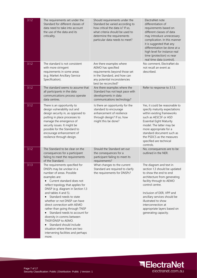| 3.1.2 | The requirements set under the<br>Standard for different classes of<br>data need to take into account<br>the use of the data and its<br>criticality.                                                                                                                                                                                                                                                                                                                                                                                                                     | Should requirements under the<br>Standard be varied according to<br>how critical the data is? If so,<br>what criteria should be used to<br>determine the requirements<br>particular data needs to meet? | ElectraNet note<br>differentiation of<br>requirements based on<br>different classes of data<br>may introduce unnecessary<br>complication. In this manner<br>it is suggested that any<br>differentiation be done at a<br>high level for instance real<br>time (protection) vs near<br>real time data (control).                     |
|-------|--------------------------------------------------------------------------------------------------------------------------------------------------------------------------------------------------------------------------------------------------------------------------------------------------------------------------------------------------------------------------------------------------------------------------------------------------------------------------------------------------------------------------------------------------------------------------|---------------------------------------------------------------------------------------------------------------------------------------------------------------------------------------------------------|------------------------------------------------------------------------------------------------------------------------------------------------------------------------------------------------------------------------------------------------------------------------------------------------------------------------------------|
| 3.1.2 | The standard is not consistent<br>with more stringent<br>requirements in some areas<br>(e.g. Market Ancillary Service<br>Specification).                                                                                                                                                                                                                                                                                                                                                                                                                                 | Are there examples where<br>AEMO has specified<br>requirements beyond those set<br>in the Standard, and how can<br>any potential inconsistencies<br>best be reconciled?                                 | No comment, ElectraNet do<br>not recall an event as<br>described.                                                                                                                                                                                                                                                                  |
| 3.1.2 | The standard seems to assume that<br>all participants in the data<br>communications process operate<br>data centres.                                                                                                                                                                                                                                                                                                                                                                                                                                                     | Are there examples where the<br>Standard has not kept pace with<br>developments in data<br>communications technology?                                                                                   | Refer to response to 3.1.3.                                                                                                                                                                                                                                                                                                        |
| 3.1.2 | There is an opportunity to<br>design vulnerability out and<br>design security in, as opposed to<br>putting in place processes to<br>manage the emergence of<br>security issues. It might be<br>possible for the Standard to<br>encourage enhancement of<br>resilience through design.                                                                                                                                                                                                                                                                                    | Is there an opportunity for the<br>standard to encourage<br>enhancement of resilience<br>through design? If so, how<br>might this be done?                                                              | Yes, it could be reasonable to<br>specify maturity expectations<br>within existing frameworks<br>such as AESCSF or ASD<br><b>Essential Eight Maturity</b><br>model. The latter may be<br>more appropriate for a<br>standard document such as<br>the PSDCS as the measures<br>specified are technical<br>controls.                  |
| 3.1.2 | The Standard to be clear on the<br>consequences for a participant<br>failing to meet the requirements<br>of the Standard.                                                                                                                                                                                                                                                                                                                                                                                                                                                | Should the Standard set out<br>the consequences for a<br>participant failing to meet its<br>requirements?                                                                                               | No, consequences are to be<br>outlined in the NER.                                                                                                                                                                                                                                                                                 |
| 3.1.3 | The requirements specified for<br>DNSPs may be unclear in a<br>number of areas. Possible<br>examples are:<br>• Current standard does not<br>reflect topology that applies for<br>DNSP (e.g. diagram in Section 1.3<br>and tables 4 and 5).<br>Standard needs to state<br>whether or not DNSP can have<br>direct connection with AEMO<br>rather than going through TNSP<br>Standard needs to account for<br>diversity in comms between<br>TNSP/DNSP to AEMO.<br>• Standard should include<br>situation where there are two<br>intervening facilities and perhaps<br>more. | What changes to the current<br>Standard are required to clarify<br>the requirements for DNSPs?                                                                                                          | The diagram and text in<br>section 1.3 should be updated<br>to show the end to end<br>architecture from generating<br>facility through to AEMO<br>control centre.<br>Inclusion of DER, VPP and<br>ancillary services should be<br>illustrated to show<br>interconnection at<br>appropriate layers based on<br>generating capacity. |

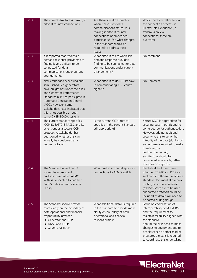| 3.1.3 | The current structure is making it<br>difficult for new connections.                                                                                                                                                                                                                                                          | Are there specific examples<br>where the current data<br>communications structure is<br>making it difficult for new<br>connections or embedded<br>participants? If so what changes<br>in the Standard would be<br>required to address these<br>issues? | Whilst there are difficulties in<br>the connection process, in<br>ElectraNets experience (i.e.<br>transmission level<br>connections) these are<br>overcome.                                                                                                                                                                                                                    |
|-------|-------------------------------------------------------------------------------------------------------------------------------------------------------------------------------------------------------------------------------------------------------------------------------------------------------------------------------|--------------------------------------------------------------------------------------------------------------------------------------------------------------------------------------------------------------------------------------------------------|--------------------------------------------------------------------------------------------------------------------------------------------------------------------------------------------------------------------------------------------------------------------------------------------------------------------------------------------------------------------------------|
| 3.1.3 | It is reported that wholesale<br>demand response providers are<br>finding it very difficult to be<br>connected for data<br>communications under current<br>arrangements.                                                                                                                                                      | What difficulties are wholesale<br>demand response providers<br>finding to be connected for data<br>communications under current<br>arrangements?                                                                                                      | No comment.                                                                                                                                                                                                                                                                                                                                                                    |
| 3.1.3 | New embedded scheduled and<br>semi- scheduled generators<br>have obligations under the rules<br>and Generator Performance<br>Standards (GPS) to participate in<br><b>Automatic Generation Control</b><br>(AGC). However, some<br>stakeholders have indicated that<br>this is not possible through<br>some DNSP SCADA systems. | What difficulties do DNSPs have<br>in communicating AGC control<br>signals?                                                                                                                                                                            | No Comment.                                                                                                                                                                                                                                                                                                                                                                    |
| 3.1.4 | The current standard specifies<br>ICCP IEC60870-6 TASE.2 and its<br>extensions as a secure ICCP<br>protocol. A stakeholder has<br>questioned whether this can<br>actually be considered as a<br>secure protocol                                                                                                               | Is the current ICCP Protocol<br>specified in the current Standard<br>still appropriate?                                                                                                                                                                | Secure ICCP is appropriate for<br>securing data in transit and to<br>some degree for authentication.<br>However, adding additional<br>security to this to verify the<br>integrity of the data (signing of<br>some form) is required to make<br>it truly secure.<br>Further, the security<br>architecture should be<br>considered as a whole, rather<br>than protocol specific. |
| 3.1.4 | The Standard in Section 5.1<br>should be more specific on<br>protocols used when AEMO<br>WAN is connected to another<br>party's data Communications<br>Facility                                                                                                                                                               | What protocols should apply for<br>connections to AEMO WAM?                                                                                                                                                                                            | ElectraNet find the current<br>Ethernet, TCP/IP and ICCP via<br>section 5.2 sufficient detail for a<br>standard document. If dynamic<br>routing or virtual containers<br>(MPLS/802.1q) are to be used<br>supported protocols could be<br>included as details will need to<br>be sorted during design.                                                                          |
| 3.1.5 | The Standard should provide<br>more clarity on the boundary of<br>both operational and financial<br>responsibility between<br>• Generator and NSP<br>DNSP and TNSP<br>• AEMO and TNSP                                                                                                                                         | What additional detail is required<br>in the Standard to provide more<br>clarity on boundary of both<br>operational and financial<br>responsibilities?                                                                                                 | Focus on coordination of<br>interoperability of RCE & RME<br>and the requirement to<br>maintain reliability aligned with<br>the standard.<br>Should the NSP need to make<br>changes to equipment due to<br>obsolescence or other market<br>pressures a means is required<br>to coordinate this undertaking.                                                                    |

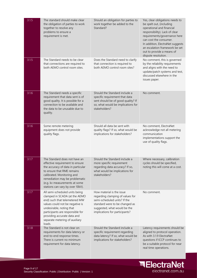| 3.1.5 | The standard should make clear<br>the obligation of parties to work<br>together to resolve any<br>problems to ensure a<br>requirement is met.                                                                                                                                  | Should an obligation for parties to<br>work together be added to the<br>Standard?                                                                                                                 | Yes, clear obligations needs to<br>be spelt out, (including<br>operational and financial<br>responsibility). Lack of clear<br>requirements/governance here<br>can cost the consumer.<br>In addition, ElectraNet suggests<br>an escalation framework be set<br>out to provide a means of<br>dispute resolution. |
|-------|--------------------------------------------------------------------------------------------------------------------------------------------------------------------------------------------------------------------------------------------------------------------------------|---------------------------------------------------------------------------------------------------------------------------------------------------------------------------------------------------|----------------------------------------------------------------------------------------------------------------------------------------------------------------------------------------------------------------------------------------------------------------------------------------------------------------|
| 3.1.5 | The Standard needs to be clear<br>that connections are required to<br>both AEMO control room sites.                                                                                                                                                                            | Does the Standard need to clarify<br>that connection is required to<br>both AEMO control room sites?                                                                                              | No comment, this is governed<br>by the reliability requirements<br>and aligns with the need to<br>update/patch systems and test,<br>discussed elsewhere in the<br>issues paper.                                                                                                                                |
| 3.1.6 | The Standard needs a specific<br>requirement that data sent is of<br>good quality. It is possible for a<br>connection to be available and<br>the data to be unusable due to<br>quality.                                                                                        | Should the Standard include a<br>specific requirement that data<br>sent should be of good quality? If<br>so, what would be implications for<br>stakeholders?                                      | No comment.                                                                                                                                                                                                                                                                                                    |
| 3.1.6 | Some remote metering<br>equipment does not provide<br>quality flags.                                                                                                                                                                                                           | Should all data be sent with<br>quality flags? If so, what would be<br>implications for stakeholders?                                                                                             | No comment, ElectraNet<br>acknowledge not all metering<br>communication<br>implementations support the<br>use of quality flags.                                                                                                                                                                                |
| 3.1.7 | The Standard does not have an<br>effective requirement to ensure<br>the accuracy of data in particular<br>to ensure that RME remains<br>calibrated. Monitoring and<br>remediation may be problematic<br>(e.g. kv measurements at some<br>stations can vary by over 10kV).      | Should the Standard include a<br>more specific requirement<br>regarding data accuracy? If so,<br>what would be implications for<br>stakeholders?                                                  | Where necessary, calibration<br>cycles should be specified,<br>noting this will come at a cost.                                                                                                                                                                                                                |
| 3.1.7 | All semi-scheduled units being<br>clamped in SCADA (at the AEMO<br>end) such that telemetered MW<br>values could not be negative is<br>undesirable, noting that<br>participants are responsible for<br>providing accurate data and<br>separate metering of auxiliary<br>loads. | How material is the issue<br>regarding clamping of values for<br>semi-scheduled units? If the<br>standard were to be changed as<br>suggested, what would be the<br>implications for participants? | No comment.                                                                                                                                                                                                                                                                                                    |
| 3.1.8 | The Standard is not clear on<br>requirements for data latency or<br>end-to-end response times.<br>There is current no minimum<br>requirement for data latency.                                                                                                                 | Should the Standard include a<br>specific requirement regarding<br>data latency? If so, what would be<br>implications for stakeholders?                                                           | Latency requirements should be<br>aligned to protocol operation.<br>As with 3.1.9 ElectraNet<br>questions if ICCP continues to<br>be a suitable protocol for near<br>real time operations.                                                                                                                     |

**ElectraNet** 

electranet.com.au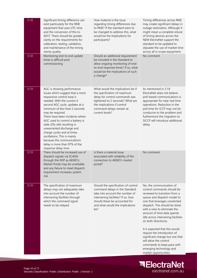| 3.1.8 | Significant timing difference can<br>exist particularly for the RME<br>equipment that uses UTC time<br>and the conversion of this to<br>AEST. There should be greater<br>clarity on the requirements for<br>calibration, testing, validation,<br>and maintenance of the timing<br>stamp quality.                                                                                                                                                                                                            | How material is the issue<br>regarding timing differences due<br>to RME? If the standard were to<br>be changed to address this, what<br>would be the implications for<br>participants?                                    | Timing differences across RME<br>may create significant delays in<br>outage restoration. Although it<br>might mean a complete retune<br>of timing devices across the<br>NEM ElectraNet support the<br>standard to be updated to<br>stipulate the use of market time<br>across all in scope equipment.                                                                                                                                                                                                                                  |
|-------|-------------------------------------------------------------------------------------------------------------------------------------------------------------------------------------------------------------------------------------------------------------------------------------------------------------------------------------------------------------------------------------------------------------------------------------------------------------------------------------------------------------|---------------------------------------------------------------------------------------------------------------------------------------------------------------------------------------------------------------------------|----------------------------------------------------------------------------------------------------------------------------------------------------------------------------------------------------------------------------------------------------------------------------------------------------------------------------------------------------------------------------------------------------------------------------------------------------------------------------------------------------------------------------------------|
| 3.1.8 | Monitoring end-to end update<br>times is difficult post<br>commissioning                                                                                                                                                                                                                                                                                                                                                                                                                                    | Should an additional requirement<br>be included in the Standard to<br>allow ongoing monitoring of end-<br>to-end response times? If so, what<br>would be the implications of such<br>a change?                            | No comment.                                                                                                                                                                                                                                                                                                                                                                                                                                                                                                                            |
| 3.1.9 | AGC is showing performance<br>issues which suggest that a more<br>responsive control loop is<br>needed. With the current 4<br>second AGC cycle, updates at a<br>minimum of less than 2 seconds<br>may be required.<br>There have been incidents where<br>AGC used to control a battery is<br>stale (20s old) resulting in<br>unwarranted discharge and<br>charge cycles and at times<br>oscillations. This is mainly<br>because the communications<br>delay is more than 97% of the<br>response delay time. | What would the implications be if<br>the specification of maximum<br>delay for control commands was<br>tightened to 2 seconds? What are<br>the implications if control<br>command delays remain at<br>current levels?     | As mentioned in 3.1.8<br>ElectraNet does not believe<br>poll-based communications is<br>appropriate for near real time<br>operations. Reduction in the<br>poll time for ICCP may not be<br>conducive to the problem and<br>furthermore the migration to<br>SICCP will introduce additional<br>delay.                                                                                                                                                                                                                                   |
| 3.1.9 | There should be increased use of<br>dispatch signals via SCADA<br>through the NSP as AEMO's<br>Market Portal may be unreliable<br>and any failure to meet dispatch<br>requirement increases system<br>risk.                                                                                                                                                                                                                                                                                                 | Is there a material issue<br>associated with reliability of the<br>connection to AEMO's market<br>portal?                                                                                                                 | No comment.                                                                                                                                                                                                                                                                                                                                                                                                                                                                                                                            |
| 3.1.9 | The specification of maximum<br>delays may not adequately take<br>into account the number of<br>intervening facilities through<br>which the command signal<br>needs to be relayed.                                                                                                                                                                                                                                                                                                                          | Should the specification of control<br>command delays in the Standard<br>take into account the number of<br>intervening facilities? If so, how<br>should these be accounted for<br>and what would the implications<br>be? | No, the communication of<br>control commands should be<br>reviewed to transition from a<br>queue and dispatch model to<br>one that leverages unsolicited<br>dispatch. This should be done<br>with a view to eliminate the<br>amount of time data spends<br>idle across intervening facilities<br>(in both directions).<br>It is expected that this would<br>require the introduction of<br>significant change but one that<br>will allow the control<br>commands to keep pace with<br>emerging technology and<br>market opportunities. |

**ElectraNet** 

electranet.com.au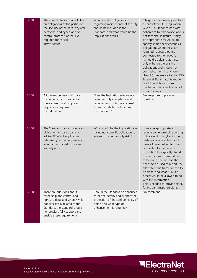| 3.1.10 | The current standard is not clear<br>on obligations of the parties to<br>the security of the data (physical,<br>personnel and cyber) and of<br>control protocols at the level<br>required for critical<br>infrastructure.    | What specific obligations<br>regarding maintenance of security<br>should be included in the<br>Standard, and what would be the<br>implications of this?               | Obligations are already in place<br>as part of the SOCI legislation.<br>Given SOCI is concerned with<br>adherence to frameworks and is<br>not technical in nature, it may<br>be appropriate for AEMO to<br>specify some specific technical<br>obligations where these are<br>required to secure others<br>connected to the network.<br>It should be clear that these<br>only enhance the existing<br>obligations and should not<br>contradict them in any form.<br>Use of (or reference to) the ASD<br>Essential Eight maturity model<br>would provide a concise<br>mechanism for specification of<br>these controls. |
|--------|------------------------------------------------------------------------------------------------------------------------------------------------------------------------------------------------------------------------------|-----------------------------------------------------------------------------------------------------------------------------------------------------------------------|-----------------------------------------------------------------------------------------------------------------------------------------------------------------------------------------------------------------------------------------------------------------------------------------------------------------------------------------------------------------------------------------------------------------------------------------------------------------------------------------------------------------------------------------------------------------------------------------------------------------------|
| 3.1.10 | Alignment between this data<br>communications standard and<br>these current and proposed<br>regulations requires<br>consideration.                                                                                           | Does the legislation adequately<br>cover security obligations and<br>requirements or is there a need<br>for more detailed obligations in<br>the Standard?             | See response to previous<br>question.                                                                                                                                                                                                                                                                                                                                                                                                                                                                                                                                                                                 |
| 3.1.10 | The Standard should include an<br>obligation for participants to<br>advise AEMO of any known<br>relevant cyber security issues or<br>when abnormal risks to cyber<br>security arise.                                         | What would be the implications of<br>including a specific obligation to<br>advise on cyber security risks?                                                            | It may be appropriate to<br>require some form of reporting<br>in the event of a cyber incident,<br>particularly where this could<br>have a flow on effect to others<br>connected to the network.<br>It needs to be explicitly stated<br>the conditions this would need<br>to be done, the method that<br>needs to be used to report, the<br>allowable time frame for this to<br>be done, and what AEMO or<br>others would be allowed to do<br>with this information.<br>This is needed to provide clarity<br>for incident response plans.                                                                             |
| 3.1.10 | There are questions about<br>ownership and control and<br>rights to data, and when. While<br>not specifically related to the<br>Standard, the standard should<br>nonetheless fully support and<br>enable these requirements. | Should the Standard be enhanced<br>to better identify and support the<br>protection of the confidentiality of<br>data? If so what type of<br>enhancement is required? | No comment.                                                                                                                                                                                                                                                                                                                                                                                                                                                                                                                                                                                                           |

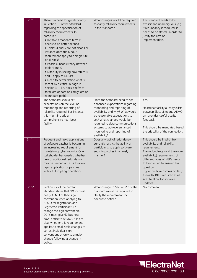| 3.1.11 | There is a need for greater clarity<br>in Section 3.1 of the Standard<br>regarding the specification of<br>reliability requirements. In<br>particular:<br>• In table 4 standard term RCE<br>needs to be better defined<br>• Tables 4 and 5 are not clear. For<br>instance does the 6 hour<br>requirement apply to a single site<br>or all sites?<br>· Possible inconsistency between<br>table 4 and 5<br>· Difficulty in seeing how tables 4<br>and 5 apply to DNSPs<br>• Need to better define what is<br>meant by a critical outage in<br>Section 3.1 - i.e. does it refer to<br>total loss of data or simply loss of<br>redundant path? | What changes would be required<br>to clarify reliability requirements<br>in the Standard?                                                                                                                                                                                                                            | The standard needs to be<br>explicit and unambiguous (e.g.<br>if redundancy is required, it<br>needs to be stated) in order to<br>justify the cost of<br>implementation.                                                                                                                                                                        |
|--------|--------------------------------------------------------------------------------------------------------------------------------------------------------------------------------------------------------------------------------------------------------------------------------------------------------------------------------------------------------------------------------------------------------------------------------------------------------------------------------------------------------------------------------------------------------------------------------------------------------------------------------------------|----------------------------------------------------------------------------------------------------------------------------------------------------------------------------------------------------------------------------------------------------------------------------------------------------------------------|-------------------------------------------------------------------------------------------------------------------------------------------------------------------------------------------------------------------------------------------------------------------------------------------------------------------------------------------------|
| 3.1.11 | The Standard should set<br>expectations on the level of<br>monitoring and reporting of<br>reliability required. For instance,<br>this might include a<br>comprehensive heartbeat<br>facility.                                                                                                                                                                                                                                                                                                                                                                                                                                              | Does the Standard need to set<br>enhanced expectations regarding<br>monitoring and reporting of<br>availability and why? What would<br>be reasonable expectations to<br>set? What changes would be<br>required to data communications<br>systems to achieve enhanced<br>monitoring and reporting of<br>availability? | Yes.<br>Heartbeat facility already exists<br>between ElectraNet and AEMO,<br>an provides useful quality<br>feedback.<br>This should be mandated based<br>the criticality of the connection.                                                                                                                                                     |
| 3.1.11 | Frequent and rapid applications<br>of software patches is becoming<br>an increasing requirement for<br>maintaining cyber security. One<br>stakeholder has queried whether<br>new or additional redundancy<br>may be needed at DCFs to allow<br>rapid application of patches<br>without disrupting operations.                                                                                                                                                                                                                                                                                                                              | Does any lack of redundancy<br>currently restrict the ability of<br>participants to apply software<br>security patches in a timely<br>manner?                                                                                                                                                                        | This should be implicit from<br>availability and reliability<br>requirements.<br>The redundancy (and therefore<br>availability) requirements of<br>different types of NSPs needs<br>to be clarified to answer this<br>question.<br>E.g. at multiple comms nodes /<br>firewalls/ RTUs required at all<br>sites to allow for software<br>updates. |
| 3.1.12 | Section 2.2 of the current<br>Standard states that "DCPs must<br>notify AEMO of their sign<br>convention when applying to<br>AEMO for registration as a<br>Registered Participant. To<br>change the sign convention,<br>DCPs must give 60 business<br>days' notice to AEMO". It is not<br>clear whether this requirement<br>applies to small scale changes to<br>correct individual sign<br>conventions or only to a major<br>change following a change in<br>policy.                                                                                                                                                                      | What change to Section 2.2 of the<br>Standard would be required to<br>clarify the requirement for<br>adequate notice?                                                                                                                                                                                                | No comment.                                                                                                                                                                                                                                                                                                                                     |

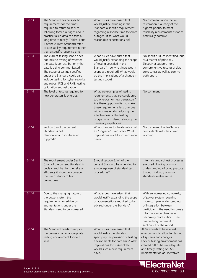| 3.1.13 | The Standard has no specific<br>requirements for the times<br>required to return to service<br>following forced outages and in<br>practice failed data can take a<br>long time to rectify. Tables 4 and<br>5 of the current Standard refer<br>to a reliability requirement rather<br>than a specific response time. | What issues have arisen that<br>would justify including in the<br>Standard a specific requirement<br>regarding response time to forced<br>outages? If so, what would<br>reasonable expectations be?                                                                                                       | No comment, upon failure,<br>restoration is already of the<br>highest priority to meet<br>reliability requirements as far as<br>practically possible.                                                                                                                        |
|--------|---------------------------------------------------------------------------------------------------------------------------------------------------------------------------------------------------------------------------------------------------------------------------------------------------------------------|-----------------------------------------------------------------------------------------------------------------------------------------------------------------------------------------------------------------------------------------------------------------------------------------------------------|------------------------------------------------------------------------------------------------------------------------------------------------------------------------------------------------------------------------------------------------------------------------------|
| 3.1.14 | The current testing scope does<br>not include testing of whether<br>the data is correct, but only that<br>data is being communicated.<br>The scope of testing specified<br>under the Standard could also<br>include testing for cyber security;<br>and robust RCE and RME testing,<br>calibration and validation.   | What issues have arisen that<br>would justify expanding the scope<br>of testing specified in the<br>Standard? If so, what increases in<br>scope are required? What would<br>be the implications of a change in<br>testing scope?                                                                          | No specific issues identified, but<br>as a matter of principal,<br>ElectraNet support more<br>comprehensive testing of data<br>correctness as well as comms<br>path open.                                                                                                    |
| 3.1.14 | The level of testing required for<br>new generators is onerous.                                                                                                                                                                                                                                                     | What are examples of testing<br>requirements that are considered<br>too onerous for new generators?<br>Are there opportunities to make<br>these requirements less onerous<br>without materially reducing the<br>effectiveness of the testing<br>programme in demonstrating the<br>necessary capabilities? | No comment.                                                                                                                                                                                                                                                                  |
| 3.1.14 | Section 6.4 of the current<br>Standard is not<br>clear on what constitutes an<br>"upgrade".                                                                                                                                                                                                                         | What changes to the definition of<br>an "upgrade" is required? What<br>implications would such a change<br>have?                                                                                                                                                                                          | No comment. ElectraNet are<br>comfortable with the current<br>wording.                                                                                                                                                                                                       |
| 3.1.14 | The requirement under Section<br>6.4(c) of the current Standard is<br>unclear and that for the sake of<br>efficiency it should encourage<br>the use of standard test<br>procedures.                                                                                                                                 | Should section 6.4(c) of the<br>current Standard be amended to<br>encourage use of standard test<br>procedures?                                                                                                                                                                                           | Internal standard test processes<br>are used. Having common<br>understanding of good practice<br>through industry common<br>standards makes sense.                                                                                                                           |
| 3.1.14 | Due to the changing nature of<br>the power system the<br>requirements for advice on<br>augmentations under the<br>Standard need to be increased.                                                                                                                                                                    | What issues have arisen that<br>would justify expanding the scope<br>of augmentations required to be<br>advised under the Standard?                                                                                                                                                                       | With an increasing complexity<br>of power system requiring<br>more complex understanding<br>of integration between<br>participants, the need for timely<br>information on changes is<br>becoming more critical - see<br>overarching comment in<br>section 2.1 of the report. |
| 3.1.14 | The Standard needs to require<br>the provision of an appropriate<br>testing environment for data<br>links.                                                                                                                                                                                                          | What issues have arisen that<br>would justify the Standard<br>specifying the provision of testing<br>environments for data links? What<br>implications for stakeholders<br>would such a new requirement<br>have?                                                                                          | AEMO needs to have a test<br>environment to allow full testing<br>of systems and changes.<br>Lack of testing environment has<br>created difficulties in adequate<br>and timely testing of EMS<br>implementation at ElectraNet.                                               |

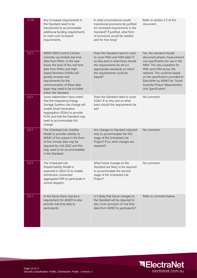| 3.1.15 | Any increased requirements in<br>the Standard need to be<br>transitioned to accommodate<br>additional funding requirements<br>to meet such increased<br>requirements.                                                                                                                                                                     | In what circumstances would<br>transitional provisions be justified<br>for increased requirements in the<br>Standard? If justified, what form<br>of provisions would be needed<br>and for how long?            | Refer to section 2.2 of this<br>document.                                                                                                                                                                                                                                                                            |
|--------|-------------------------------------------------------------------------------------------------------------------------------------------------------------------------------------------------------------------------------------------------------------------------------------------------------------------------------------------|----------------------------------------------------------------------------------------------------------------------------------------------------------------------------------------------------------------|----------------------------------------------------------------------------------------------------------------------------------------------------------------------------------------------------------------------------------------------------------------------------------------------------------------------|
| 3.2.1  | <b>AEMO NEM Control Centres</b><br>currently use limited real time<br>data from PMUs. In the near<br>future the level of this real time<br>data from PMUs and High-<br>Speed Monitors (HSMs) will<br>greatly increase and<br>requirements for the<br>communication of these data<br>types may need to be included<br>within the Standard. | Does the Standard need to cover<br>to cover PMU and HSM data? If<br>so why and on what basis should<br>the requirements be set (i.e.<br>appropriate standards on which<br>the requirements could be<br>based)? | Yes, the standard should<br>document phasor measurement<br>unit specification for use in the<br>NEM. This sets a baseline for<br>PMU and HSM across the<br>network. This could be based<br>on the specification provided to<br>ElectraNet by AEMO for "South<br>Australia Phasor Measurement<br>Unit Specification". |
| 3.2.1  | Some stakeholders have noted<br>that the Integrating Energy<br>Storage Systems rule change will<br>enable Small Generation<br>Aggregators (SGAs) to provide<br>FCAS and that the Standard may<br>need to accommodate this<br>change                                                                                                       | Does the Standard need to cover<br>SGAs? If so why and on what<br>basis should the requirements be<br>set?                                                                                                     | No comment.                                                                                                                                                                                                                                                                                                          |
| 3.2.1  | The Scheduled Lite Visibility<br>Model to provide visibility to<br>AEMO of the output in the form<br>of five-minute data may be<br>required by mid-2022 and this<br>may need to be accommodated<br>in the Standard.                                                                                                                       | Are changes to Standard required<br>now to accommodate the first<br>stage of the Scheduled Lite<br>Project? If so, what changes are<br>required?                                                               | No comment.                                                                                                                                                                                                                                                                                                          |
| 3.2.1  | The Scheduled Lite<br>Dispatchability Model is<br>expected in 2024-25 to enable<br>distribution connected<br>aggregated DER to participate in<br>central dispatch.                                                                                                                                                                        | What future changes to the<br>Standard are likely to be required<br>to accommodate the second<br>stage of the Scheduled Lite<br>Project?                                                                       | No comment.                                                                                                                                                                                                                                                                                                          |
| 3.2.1  | In the future there may be a<br>requirement for AEMO to also<br>provide real time data to<br>participants.                                                                                                                                                                                                                                | Is it likely that future changes to<br>the Standard will be required to<br>also cover provision of real time<br>data from AEMO to participants?                                                                | Refer to comment below.                                                                                                                                                                                                                                                                                              |

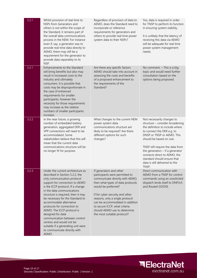| 3.2.1 | Whilst provision of real time to<br>NSPs from Generators and<br>others is not within the scope of<br>the Standard, it remains part of<br>the overall data communications<br>process in the NEM. For instance<br>even if, say, a generator was to<br>provide real time data directly to<br>AEMO, there may still be a<br>requirement for the generator to<br>provide data separately to its<br>NSP.                                                                                                                                          | Regardless of provision of data to<br>AEMO, does the Standard need to<br>incorporate or reference<br>requirements for generators and<br>others to provide real time power<br>system data to their NSPs?                                                                                                                                                           | Yes, data is required in order<br>for TNSP to perform its function<br>in ensuring system stability.<br>It is unlikely that the latency of<br>receiving this data via AEMO<br>will be adequate for real time<br>power system management<br>needs.                                                                                                                            |
|-------|---------------------------------------------------------------------------------------------------------------------------------------------------------------------------------------------------------------------------------------------------------------------------------------------------------------------------------------------------------------------------------------------------------------------------------------------------------------------------------------------------------------------------------------------|-------------------------------------------------------------------------------------------------------------------------------------------------------------------------------------------------------------------------------------------------------------------------------------------------------------------------------------------------------------------|-----------------------------------------------------------------------------------------------------------------------------------------------------------------------------------------------------------------------------------------------------------------------------------------------------------------------------------------------------------------------------|
| 3.2.1 | Enhancements to the Standard<br>will bring benefits but also may<br>result in increased costs to the<br>industry and ultimately<br>consumers. It is possible that<br>costs may be disproportionate in<br>the case of enhanced<br>requirements for smaller<br>participants, however the<br>necessity for those requirements<br>may increase as the relative<br>numbers of smaller participants<br>increase.                                                                                                                                  | Are there any specific factors<br>AEMO should take into account in<br>assessing the costs and benefits<br>of a proposed enhancement to<br>the requirements of the<br>Standard?                                                                                                                                                                                    | No comment. $-$ This is a big<br>topic and would need further<br>consultation based on the<br>options being proposed.                                                                                                                                                                                                                                                       |
| 3.2.2 | In the near future, a growing<br>number of embedded battery<br>generation, aggregated DER and<br>VPP connections will need to be<br>accommodated. Some<br>stakeholders believe that this will<br>mean that the current data<br>communications structure will be<br>no longer fit for purpose.                                                                                                                                                                                                                                               | What changes to the current NEM<br>power system data<br>communications structure are<br>likely to be required? Are there<br>different options for such<br>changes?                                                                                                                                                                                                | Not necessarily changes to<br>structure - consider broadening<br>the definition to include where<br>to connect the DER e.g. to<br>DNSP or TNSP or AEMO. This<br>should be based on size.<br>TNSP still require the data from<br>the generators $-$ if a generator<br>connects direct to AEMO, the<br>standard should ensure that<br>data is still delivered to the<br>TNSP. |
| 3.2.3 | Under the current architecture as<br>described in Section 3.2.2, the<br>only communication protocol<br>support for connection to AEMO<br>is the ICCP protocol. If a change<br>in the data communications<br>structure is required, then it may<br>be necessary for the Standard to<br>accommodate alternative<br>protocols for connection to<br>AEMO. The ICCP protocol is<br>designed for data<br>communication between control<br>centres and would not be<br>suitable if a generating unit were<br>to communicate directly with<br>AEMO. | If generators and other<br>participants were permitted to<br>communicate directly with AEMO,<br>then what types of data protocols<br>would be preferred?<br>If for cyber security and other<br>reasons, only a single protocol<br>can be accommodated in addition<br>to secure ICCP, what criteria<br>should AEMO use to determine<br>the most suitable protocol? | Direct communication with<br>AEMO from a TNSP for control<br>commands using an unsolicited<br>dispatch lends itself to DNP3v5<br>and Routed GOOSE.                                                                                                                                                                                                                          |

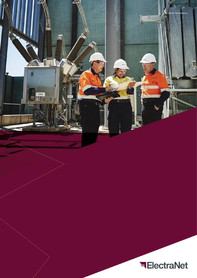